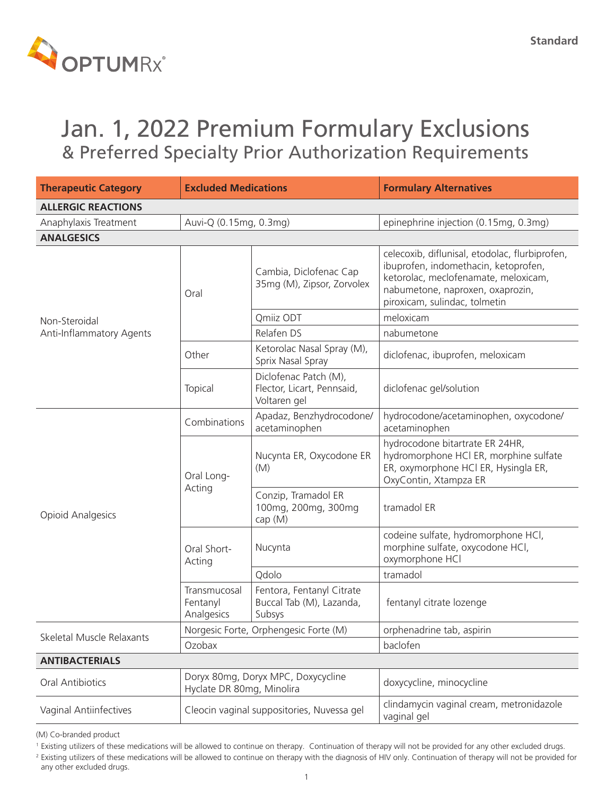

## Jan. 1, 2022 Premium Formulary Exclusions & Preferred Specialty Prior Authorization Requirements

| <b>Therapeutic Category</b>         | <b>Excluded Medications</b>                                     |                                                                     | <b>Formulary Alternatives</b>                                                                                                                                                                       |
|-------------------------------------|-----------------------------------------------------------------|---------------------------------------------------------------------|-----------------------------------------------------------------------------------------------------------------------------------------------------------------------------------------------------|
| <b>ALLERGIC REACTIONS</b>           |                                                                 |                                                                     |                                                                                                                                                                                                     |
| Anaphylaxis Treatment               | epinephrine injection (0.15mg, 0.3mg)<br>Auvi-Q (0.15mg, 0.3mg) |                                                                     |                                                                                                                                                                                                     |
| <b>ANALGESICS</b>                   |                                                                 |                                                                     |                                                                                                                                                                                                     |
|                                     | Oral                                                            | Cambia, Diclofenac Cap<br>35mg (M), Zipsor, Zorvolex                | celecoxib, diflunisal, etodolac, flurbiprofen,<br>ibuprofen, indomethacin, ketoprofen,<br>ketorolac, meclofenamate, meloxicam,<br>nabumetone, naproxen, oxaprozin,<br>piroxicam, sulindac, tolmetin |
| Non-Steroidal                       |                                                                 | Qmiiz ODT                                                           | meloxicam                                                                                                                                                                                           |
| Anti-Inflammatory Agents            |                                                                 | Relafen DS                                                          | nabumetone                                                                                                                                                                                          |
|                                     | Other                                                           | Ketorolac Nasal Spray (M),<br>Sprix Nasal Spray                     | diclofenac, ibuprofen, meloxicam                                                                                                                                                                    |
|                                     | Topical                                                         | Diclofenac Patch (M),<br>Flector, Licart, Pennsaid,<br>Voltaren gel | diclofenac gel/solution                                                                                                                                                                             |
| <b>Opioid Analgesics</b>            | Combinations                                                    | Apadaz, Benzhydrocodone/<br>acetaminophen                           | hydrocodone/acetaminophen, oxycodone/<br>acetaminophen                                                                                                                                              |
|                                     | Oral Long-<br>Acting                                            | Nucynta ER, Oxycodone ER<br>(M)                                     | hydrocodone bitartrate ER 24HR,<br>hydromorphone HCl ER, morphine sulfate<br>ER, oxymorphone HCl ER, Hysingla ER,<br>OxyContin, Xtampza ER                                                          |
|                                     |                                                                 | Conzip, Tramadol ER<br>100mg, 200mg, 300mg<br>cap (M)               | tramadol ER                                                                                                                                                                                         |
|                                     | Oral Short-<br>Acting                                           | Nucynta                                                             | codeine sulfate, hydromorphone HCl,<br>morphine sulfate, oxycodone HCl,<br>oxymorphone HCl                                                                                                          |
|                                     |                                                                 | Qdolo                                                               | tramadol                                                                                                                                                                                            |
|                                     | Transmucosal<br>Fentanyl<br>Analgesics                          | Fentora, Fentanyl Citrate<br>Buccal Tab (M), Lazanda,<br>Subsys     | fentanyl citrate lozenge                                                                                                                                                                            |
|                                     | Norgesic Forte, Orphengesic Forte (M)                           |                                                                     | orphenadrine tab, aspirin                                                                                                                                                                           |
| Skeletal Muscle Relaxants<br>Ozobax |                                                                 |                                                                     | baclofen                                                                                                                                                                                            |
| <b>ANTIBACTERIALS</b>               |                                                                 |                                                                     |                                                                                                                                                                                                     |
| <b>Oral Antibiotics</b>             | Doryx 80mg, Doryx MPC, Doxycycline<br>Hyclate DR 80mg, Minolira |                                                                     | doxycycline, minocycline                                                                                                                                                                            |
| Vaginal Antiinfectives              | Cleocin vaginal suppositories, Nuvessa gel                      |                                                                     | clindamycin vaginal cream, metronidazole<br>vaginal gel                                                                                                                                             |

<sup>&</sup>lt;sup>1</sup> Existing utilizers of these medications will be allowed to continue on therapy. Continuation of therapy will not be provided for any other excluded drugs.

<sup>&</sup>lt;sup>2</sup> Existing utilizers of these medications will be allowed to continue on therapy with the diagnosis of HIV only. Continuation of therapy will not be provided for any other excluded drugs.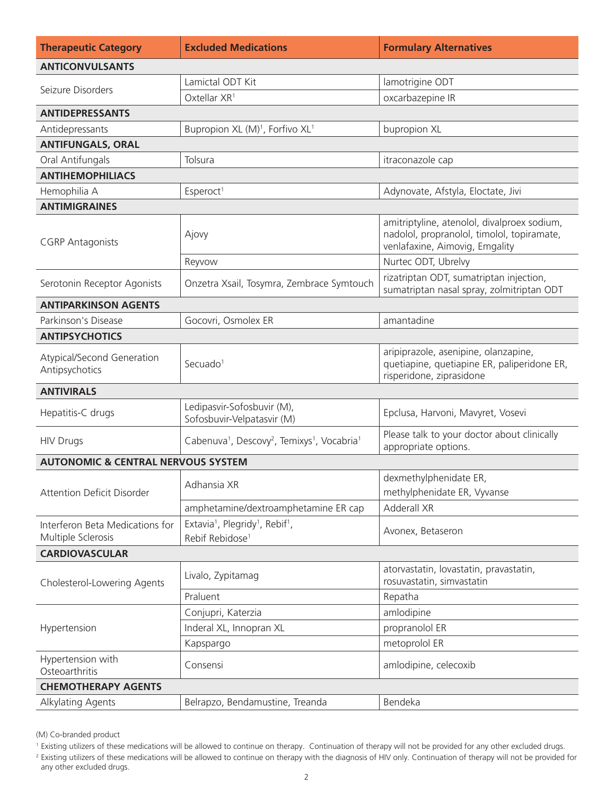| <b>Therapeutic Category</b>                           | <b>Excluded Medications</b>                                                                        | <b>Formulary Alternatives</b>                                                                                               |  |
|-------------------------------------------------------|----------------------------------------------------------------------------------------------------|-----------------------------------------------------------------------------------------------------------------------------|--|
| <b>ANTICONVULSANTS</b>                                |                                                                                                    |                                                                                                                             |  |
|                                                       | Lamictal ODT Kit                                                                                   | lamotrigine ODT                                                                                                             |  |
| Seizure Disorders                                     | Oxtellar XR <sup>1</sup>                                                                           | oxcarbazepine IR                                                                                                            |  |
| <b>ANTIDEPRESSANTS</b>                                |                                                                                                    |                                                                                                                             |  |
| Antidepressants                                       | Bupropion XL (M) <sup>1</sup> , Forfivo XL <sup>1</sup>                                            | bupropion XL                                                                                                                |  |
| <b>ANTIFUNGALS, ORAL</b>                              |                                                                                                    |                                                                                                                             |  |
| Oral Antifungals                                      | Tolsura                                                                                            | itraconazole cap                                                                                                            |  |
| <b>ANTIHEMOPHILIACS</b>                               |                                                                                                    |                                                                                                                             |  |
| Hemophilia A                                          | Esperoct <sup>1</sup>                                                                              | Adynovate, Afstyla, Eloctate, Jivi                                                                                          |  |
| <b>ANTIMIGRAINES</b>                                  |                                                                                                    |                                                                                                                             |  |
| <b>CGRP Antagonists</b>                               | Ajovy                                                                                              | amitriptyline, atenolol, divalproex sodium,<br>nadolol, propranolol, timolol, topiramate,<br>venlafaxine, Aimovig, Emgality |  |
|                                                       | Reyvow                                                                                             | Nurtec ODT, Ubrelvy                                                                                                         |  |
| Serotonin Receptor Agonists                           | Onzetra Xsail, Tosymra, Zembrace Symtouch                                                          | rizatriptan ODT, sumatriptan injection,<br>sumatriptan nasal spray, zolmitriptan ODT                                        |  |
| <b>ANTIPARKINSON AGENTS</b>                           |                                                                                                    |                                                                                                                             |  |
| Parkinson's Disease                                   | Gocovri, Osmolex ER                                                                                | amantadine                                                                                                                  |  |
| <b>ANTIPSYCHOTICS</b>                                 |                                                                                                    |                                                                                                                             |  |
| Atypical/Second Generation<br>Antipsychotics          | Secuado <sup>1</sup>                                                                               | aripiprazole, asenipine, olanzapine,<br>quetiapine, quetiapine ER, paliperidone ER,<br>risperidone, ziprasidone             |  |
| <b>ANTIVIRALS</b>                                     |                                                                                                    |                                                                                                                             |  |
| Hepatitis-C drugs                                     | Ledipasvir-Sofosbuvir (M),<br>Sofosbuvir-Velpatasvir (M)                                           | Epclusa, Harvoni, Mavyret, Vosevi                                                                                           |  |
| <b>HIV Drugs</b>                                      | Cabenuva <sup>1</sup> , Descovy <sup>2</sup> , Temixys <sup>1</sup> , Vocabria <sup>1</sup>        | Please talk to your doctor about clinically<br>appropriate options.                                                         |  |
| <b>AUTONOMIC &amp; CENTRAL NERVOUS SYSTEM</b>         |                                                                                                    |                                                                                                                             |  |
| <b>Attention Deficit Disorder</b>                     | Adhansia XR                                                                                        | dexmethylphenidate ER,<br>methylphenidate ER, Vyvanse                                                                       |  |
|                                                       | amphetamine/dextroamphetamine ER cap                                                               | Adderall XR                                                                                                                 |  |
| Interferon Beta Medications for<br>Multiple Sclerosis | Extavia <sup>1</sup> , Plegridy <sup>1</sup> , Rebif <sup>1</sup> ,<br>Rebif Rebidose <sup>1</sup> | Avonex, Betaseron                                                                                                           |  |
| <b>CARDIOVASCULAR</b>                                 |                                                                                                    |                                                                                                                             |  |
| Cholesterol-Lowering Agents                           | Livalo, Zypitamag                                                                                  | atorvastatin, lovastatin, pravastatin,<br>rosuvastatin, simvastatin                                                         |  |
|                                                       | Praluent                                                                                           | Repatha                                                                                                                     |  |
|                                                       | Conjupri, Katerzia                                                                                 | amlodipine                                                                                                                  |  |
| Hypertension                                          | Inderal XL, Innopran XL                                                                            | propranolol ER                                                                                                              |  |
|                                                       | Kapspargo                                                                                          | metoprolol ER                                                                                                               |  |
| Hypertension with<br>Osteoarthritis                   | Consensi<br>amlodipine, celecoxib                                                                  |                                                                                                                             |  |
| <b>CHEMOTHERAPY AGENTS</b>                            |                                                                                                    |                                                                                                                             |  |
| Alkylating Agents                                     | Bendeka<br>Belrapzo, Bendamustine, Treanda                                                         |                                                                                                                             |  |

<sup>&</sup>lt;sup>1</sup> Existing utilizers of these medications will be allowed to continue on therapy. Continuation of therapy will not be provided for any other excluded drugs.

<sup>&</sup>lt;sup>2</sup> Existing utilizers of these medications will be allowed to continue on therapy with the diagnosis of HIV only. Continuation of therapy will not be provided for any other excluded drugs.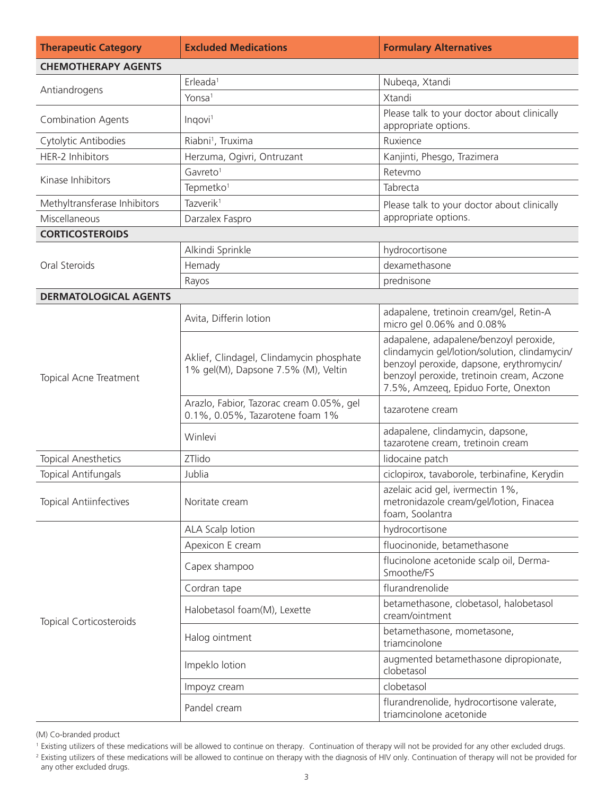| <b>Therapeutic Category</b>    | <b>Excluded Medications</b>                                                                | <b>Formulary Alternatives</b>                                                                                                                                                                                           |
|--------------------------------|--------------------------------------------------------------------------------------------|-------------------------------------------------------------------------------------------------------------------------------------------------------------------------------------------------------------------------|
| <b>CHEMOTHERAPY AGENTS</b>     |                                                                                            |                                                                                                                                                                                                                         |
|                                | Erleada <sup>1</sup>                                                                       | Nubeqa, Xtandi                                                                                                                                                                                                          |
| Antiandrogens                  | Yonsa <sup>1</sup>                                                                         | Xtandi                                                                                                                                                                                                                  |
| <b>Combination Agents</b>      | Please talk to your doctor about clinically<br>Inqovi <sup>1</sup><br>appropriate options. |                                                                                                                                                                                                                         |
| Cytolytic Antibodies           | Riabni <sup>1</sup> , Truxima                                                              | Ruxience                                                                                                                                                                                                                |
| HER-2 Inhibitors               | Herzuma, Ogivri, Ontruzant                                                                 | Kanjinti, Phesgo, Trazimera                                                                                                                                                                                             |
| Kinase Inhibitors              | Gavreto <sup>1</sup>                                                                       | Retevmo                                                                                                                                                                                                                 |
|                                | Tepmetko <sup>1</sup>                                                                      | Tabrecta                                                                                                                                                                                                                |
| Methyltransferase Inhibitors   | Tazverik <sup>1</sup>                                                                      | Please talk to your doctor about clinically                                                                                                                                                                             |
| Miscellaneous                  | Darzalex Faspro                                                                            | appropriate options.                                                                                                                                                                                                    |
| <b>CORTICOSTEROIDS</b>         |                                                                                            |                                                                                                                                                                                                                         |
|                                | Alkindi Sprinkle                                                                           | hydrocortisone                                                                                                                                                                                                          |
| Oral Steroids                  | Hemady                                                                                     | dexamethasone                                                                                                                                                                                                           |
|                                | Rayos                                                                                      | prednisone                                                                                                                                                                                                              |
| <b>DERMATOLOGICAL AGENTS</b>   |                                                                                            |                                                                                                                                                                                                                         |
| Topical Acne Treatment         | Avita, Differin lotion                                                                     | adapalene, tretinoin cream/gel, Retin-A<br>micro gel 0.06% and 0.08%                                                                                                                                                    |
|                                | Aklief, Clindagel, Clindamycin phosphate<br>1% gel(M), Dapsone 7.5% (M), Veltin            | adapalene, adapalene/benzoyl peroxide,<br>clindamycin gel/lotion/solution, clindamycin/<br>benzoyl peroxide, dapsone, erythromycin/<br>benzoyl peroxide, tretinoin cream, Aczone<br>7.5%, Amzeeq, Epiduo Forte, Onexton |
|                                | Arazlo, Fabior, Tazorac cream 0.05%, gel<br>0.1%, 0.05%, Tazarotene foam 1%                | tazarotene cream                                                                                                                                                                                                        |
|                                | Winlevi                                                                                    | adapalene, clindamycin, dapsone,<br>tazarotene cream, tretinoin cream                                                                                                                                                   |
| <b>Topical Anesthetics</b>     | ZTlido                                                                                     | lidocaine patch                                                                                                                                                                                                         |
| <b>Topical Antifungals</b>     | Jublia<br>ciclopirox, tavaborole, terbinafine, Kerydin                                     |                                                                                                                                                                                                                         |
| <b>Topical Antiinfectives</b>  | Noritate cream                                                                             | azelaic acid gel, ivermectin 1%,<br>metronidazole cream/gel/lotion, Finacea<br>foam, Soolantra                                                                                                                          |
|                                | ALA Scalp lotion                                                                           | hydrocortisone                                                                                                                                                                                                          |
|                                | Apexicon E cream                                                                           | fluocinonide, betamethasone                                                                                                                                                                                             |
| <b>Topical Corticosteroids</b> | Capex shampoo                                                                              | flucinolone acetonide scalp oil, Derma-<br>Smoothe/FS                                                                                                                                                                   |
|                                | Cordran tape                                                                               | flurandrenolide                                                                                                                                                                                                         |
|                                | Halobetasol foam(M), Lexette                                                               | betamethasone, clobetasol, halobetasol<br>cream/ointment                                                                                                                                                                |
|                                | Halog ointment                                                                             | betamethasone, mometasone,<br>triamcinolone                                                                                                                                                                             |
|                                | Impeklo lotion                                                                             | augmented betamethasone dipropionate,<br>clobetasol                                                                                                                                                                     |
|                                | Impoyz cream                                                                               | clobetasol                                                                                                                                                                                                              |
|                                | Pandel cream                                                                               | flurandrenolide, hydrocortisone valerate,<br>triamcinolone acetonide                                                                                                                                                    |

<sup>&</sup>lt;sup>1</sup> Existing utilizers of these medications will be allowed to continue on therapy. Continuation of therapy will not be provided for any other excluded drugs.

<sup>&</sup>lt;sup>2</sup> Existing utilizers of these medications will be allowed to continue on therapy with the diagnosis of HIV only. Continuation of therapy will not be provided for any other excluded drugs.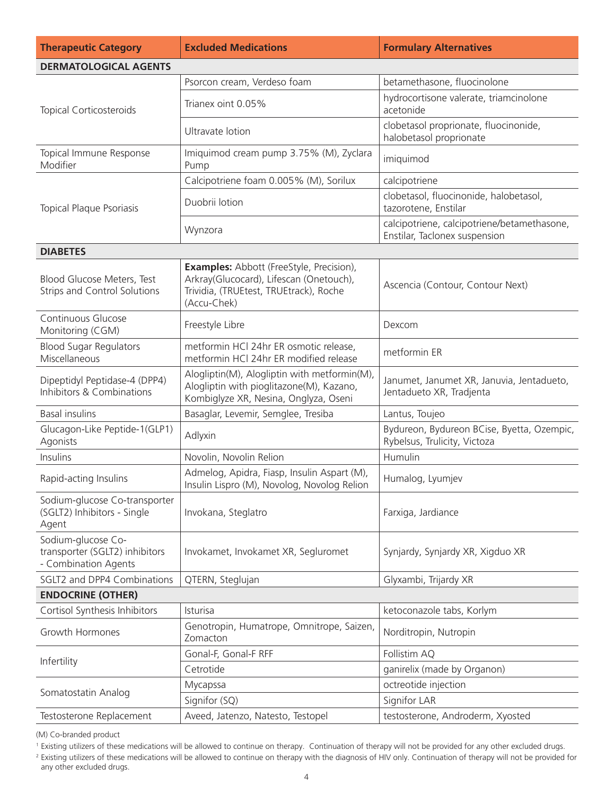| <b>Therapeutic Category</b>                                                  | <b>Excluded Medications</b>                                                                                                                         | <b>Formulary Alternatives</b>                                                |  |
|------------------------------------------------------------------------------|-----------------------------------------------------------------------------------------------------------------------------------------------------|------------------------------------------------------------------------------|--|
| <b>DERMATOLOGICAL AGENTS</b>                                                 |                                                                                                                                                     |                                                                              |  |
|                                                                              | Psorcon cream, Verdeso foam                                                                                                                         | betamethasone, fluocinolone                                                  |  |
| <b>Topical Corticosteroids</b>                                               | Trianex oint 0.05%                                                                                                                                  | hydrocortisone valerate, triamcinolone<br>acetonide                          |  |
|                                                                              | Ultravate lotion                                                                                                                                    | clobetasol proprionate, fluocinonide,<br>halobetasol proprionate             |  |
| Topical Immune Response<br>Modifier                                          | Imiquimod cream pump 3.75% (M), Zyclara<br>Pump                                                                                                     | imiquimod                                                                    |  |
|                                                                              | Calcipotriene foam 0.005% (M), Sorilux                                                                                                              | calcipotriene                                                                |  |
| <b>Topical Plaque Psoriasis</b>                                              | Duobrii lotion                                                                                                                                      | clobetasol, fluocinonide, halobetasol,<br>tazorotene, Enstilar               |  |
|                                                                              | Wynzora                                                                                                                                             | calcipotriene, calcipotriene/betamethasone,<br>Enstilar, Taclonex suspension |  |
| <b>DIABETES</b>                                                              |                                                                                                                                                     |                                                                              |  |
| Blood Glucose Meters, Test<br><b>Strips and Control Solutions</b>            | <b>Examples:</b> Abbott (FreeStyle, Precision),<br>Arkray(Glucocard), Lifescan (Onetouch),<br>Trividia, (TRUEtest, TRUEtrack), Roche<br>(Accu-Chek) | Ascencia (Contour, Contour Next)                                             |  |
| Continuous Glucose<br>Monitoring (CGM)                                       | Freestyle Libre                                                                                                                                     | Dexcom                                                                       |  |
| <b>Blood Sugar Regulators</b><br>Miscellaneous                               | metformin HCl 24hr ER osmotic release,<br>metformin HCI 24hr ER modified release                                                                    | metformin ER                                                                 |  |
| Dipeptidyl Peptidase-4 (DPP4)<br>Inhibitors & Combinations                   | Alogliptin(M), Alogliptin with metformin(M),<br>Alogliptin with pioglitazone(M), Kazano,<br>Kombiglyze XR, Nesina, Onglyza, Oseni                   | Janumet, Janumet XR, Januvia, Jentadueto,<br>Jentadueto XR, Tradjenta        |  |
| <b>Basal insulins</b>                                                        | Basaglar, Levemir, Semglee, Tresiba                                                                                                                 | Lantus, Toujeo                                                               |  |
| Glucagon-Like Peptide-1(GLP1)<br>Agonists                                    | Adlyxin                                                                                                                                             | Bydureon, Bydureon BCise, Byetta, Ozempic,<br>Rybelsus, Trulicity, Victoza   |  |
| Insulins                                                                     | Novolin, Novolin Relion                                                                                                                             | Humulin                                                                      |  |
| Rapid-acting Insulins                                                        | Admelog, Apidra, Fiasp, Insulin Aspart (M),<br>Insulin Lispro (M), Novolog, Novolog Relion                                                          | Humalog, Lyumjev                                                             |  |
| Sodium-glucose Co-transporter<br>(SGLT2) Inhibitors - Single<br>Agent        | Invokana, Steglatro                                                                                                                                 | Farxiga, Jardiance                                                           |  |
| Sodium-glucose Co-<br>transporter (SGLT2) inhibitors<br>- Combination Agents | Invokamet, Invokamet XR, Segluromet                                                                                                                 | Synjardy, Synjardy XR, Xigduo XR                                             |  |
| SGLT2 and DPP4 Combinations                                                  | QTERN, Steglujan                                                                                                                                    | Glyxambi, Trijardy XR                                                        |  |
| <b>ENDOCRINE (OTHER)</b>                                                     |                                                                                                                                                     |                                                                              |  |
| Cortisol Synthesis Inhibitors                                                | Isturisa                                                                                                                                            | ketoconazole tabs, Korlym                                                    |  |
| Growth Hormones                                                              | Genotropin, Humatrope, Omnitrope, Saizen,<br>Norditropin, Nutropin<br>Zomacton                                                                      |                                                                              |  |
| Infertility                                                                  | Gonal-F, Gonal-F RFF                                                                                                                                | Follistim AQ                                                                 |  |
|                                                                              | Cetrotide                                                                                                                                           | ganirelix (made by Organon)                                                  |  |
| Somatostatin Analog                                                          | Mycapssa                                                                                                                                            | octreotide injection                                                         |  |
|                                                                              | Signifor (SQ)                                                                                                                                       | Signifor LAR                                                                 |  |
| Testosterone Replacement                                                     | Aveed, Jatenzo, Natesto, Testopel                                                                                                                   | testosterone, Androderm, Xyosted                                             |  |

<sup>&</sup>lt;sup>1</sup> Existing utilizers of these medications will be allowed to continue on therapy. Continuation of therapy will not be provided for any other excluded drugs.

<sup>&</sup>lt;sup>2</sup> Existing utilizers of these medications will be allowed to continue on therapy with the diagnosis of HIV only. Continuation of therapy will not be provided for any other excluded drugs.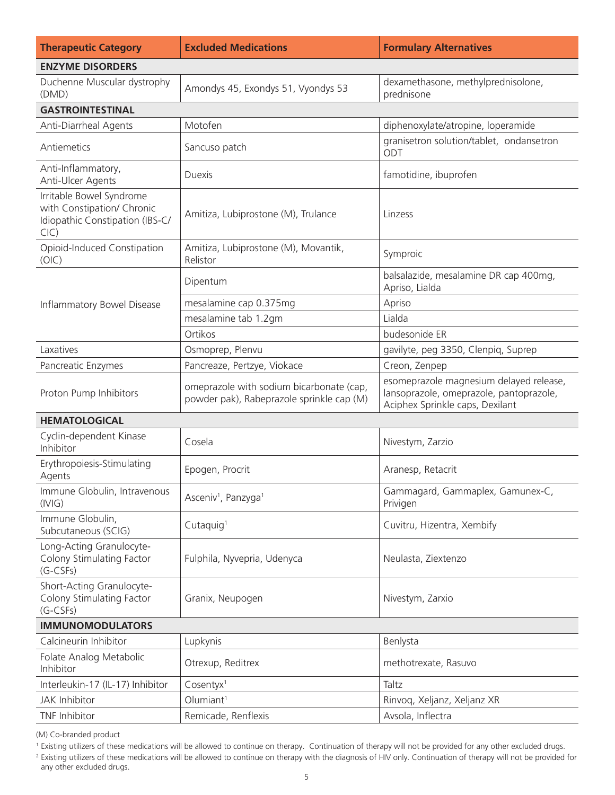| <b>Therapeutic Category</b>                                                                       | <b>Excluded Medications</b>                                                           | <b>Formulary Alternatives</b>                                                                                         |  |
|---------------------------------------------------------------------------------------------------|---------------------------------------------------------------------------------------|-----------------------------------------------------------------------------------------------------------------------|--|
| <b>ENZYME DISORDERS</b>                                                                           |                                                                                       |                                                                                                                       |  |
| Duchenne Muscular dystrophy<br>(DMD)                                                              | Amondys 45, Exondys 51, Vyondys 53                                                    | dexamethasone, methylprednisolone,<br>prednisone                                                                      |  |
| <b>GASTROINTESTINAL</b>                                                                           |                                                                                       |                                                                                                                       |  |
| Anti-Diarrheal Agents                                                                             | Motofen                                                                               | diphenoxylate/atropine, loperamide                                                                                    |  |
| Antiemetics                                                                                       | Sancuso patch                                                                         | granisetron solution/tablet, ondansetron<br>ODT                                                                       |  |
| Anti-Inflammatory,<br>Anti-Ulcer Agents                                                           | <b>Duexis</b>                                                                         | famotidine, ibuprofen                                                                                                 |  |
| Irritable Bowel Syndrome<br>with Constipation/ Chronic<br>Idiopathic Constipation (IBS-C/<br>ClC) | Amitiza, Lubiprostone (M), Trulance                                                   | Linzess                                                                                                               |  |
| Opioid-Induced Constipation<br>(OIC)                                                              | Amitiza, Lubiprostone (M), Movantik,<br>Relistor                                      | Symproic                                                                                                              |  |
|                                                                                                   | Dipentum                                                                              | balsalazide, mesalamine DR cap 400mg,<br>Apriso, Lialda                                                               |  |
| Inflammatory Bowel Disease                                                                        | mesalamine cap 0.375mg                                                                | Apriso                                                                                                                |  |
|                                                                                                   | mesalamine tab 1.2gm                                                                  | Lialda                                                                                                                |  |
|                                                                                                   | Ortikos                                                                               | budesonide ER                                                                                                         |  |
| Laxatives                                                                                         | Osmoprep, Plenvu                                                                      | gavilyte, peg 3350, Clenpiq, Suprep                                                                                   |  |
| Pancreatic Enzymes                                                                                | Pancreaze, Pertzye, Viokace                                                           | Creon, Zenpep                                                                                                         |  |
| Proton Pump Inhibitors                                                                            | omeprazole with sodium bicarbonate (cap,<br>powder pak), Rabeprazole sprinkle cap (M) | esomeprazole magnesium delayed release,<br>lansoprazole, omeprazole, pantoprazole,<br>Aciphex Sprinkle caps, Dexilant |  |
| <b>HEMATOLOGICAL</b>                                                                              |                                                                                       |                                                                                                                       |  |
| Cyclin-dependent Kinase<br>Inhibitor                                                              | Cosela                                                                                | Nivestym, Zarzio                                                                                                      |  |
| Erythropoiesis-Stimulating<br>Agents                                                              | Epogen, Procrit                                                                       | Aranesp, Retacrit                                                                                                     |  |
| Immune Globulin, Intravenous<br>(IVIG)                                                            | Asceniv <sup>1</sup> , Panzyga <sup>1</sup>                                           | Gammagard, Gammaplex, Gamunex-C,<br>Privigen                                                                          |  |
| Immune Globulin,<br>Subcutaneous (SCIG)                                                           | Cutaquig <sup>1</sup>                                                                 | Cuvitru, Hizentra, Xembify                                                                                            |  |
| Long-Acting Granulocyte-<br>Colony Stimulating Factor<br>$(G-CSFs)$                               | Fulphila, Nyvepria, Udenyca                                                           | Neulasta, Ziextenzo                                                                                                   |  |
| Short-Acting Granulocyte-<br>Colony Stimulating Factor<br>$(G-CSFs)$                              | Granix, Neupogen                                                                      | Nivestym, Zarxio                                                                                                      |  |
| <b>IMMUNOMODULATORS</b>                                                                           |                                                                                       |                                                                                                                       |  |
| Calcineurin Inhibitor                                                                             | Lupkynis                                                                              | Benlysta                                                                                                              |  |
| Folate Analog Metabolic<br>Inhibitor                                                              | Otrexup, Reditrex                                                                     | methotrexate, Rasuvo                                                                                                  |  |
| Interleukin-17 (IL-17) Inhibitor                                                                  | Cosentyx <sup>1</sup>                                                                 | Taltz                                                                                                                 |  |
| <b>JAK Inhibitor</b>                                                                              | Olumiant <sup>1</sup>                                                                 | Rinvoq, Xeljanz, Xeljanz XR                                                                                           |  |
| TNF Inhibitor                                                                                     | Remicade, Renflexis                                                                   | Avsola, Inflectra                                                                                                     |  |

<sup>&</sup>lt;sup>1</sup> Existing utilizers of these medications will be allowed to continue on therapy. Continuation of therapy will not be provided for any other excluded drugs.

<sup>&</sup>lt;sup>2</sup> Existing utilizers of these medications will be allowed to continue on therapy with the diagnosis of HIV only. Continuation of therapy will not be provided for any other excluded drugs.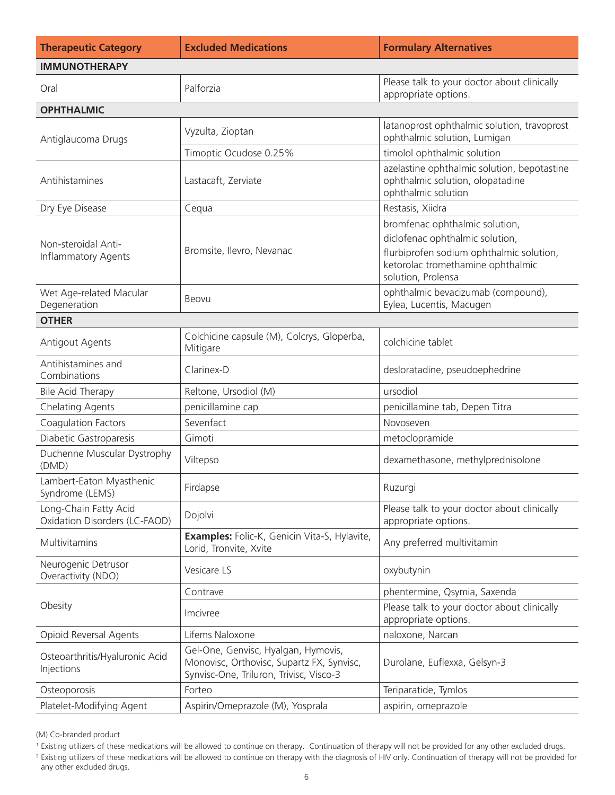| <b>Therapeutic Category</b>                            | <b>Excluded Medications</b>                                                                                                 | <b>Formulary Alternatives</b>                                                                                                                                            |
|--------------------------------------------------------|-----------------------------------------------------------------------------------------------------------------------------|--------------------------------------------------------------------------------------------------------------------------------------------------------------------------|
| <b>IMMUNOTHERAPY</b>                                   |                                                                                                                             |                                                                                                                                                                          |
| Oral                                                   | Palforzia                                                                                                                   | Please talk to your doctor about clinically<br>appropriate options.                                                                                                      |
| <b>OPHTHALMIC</b>                                      |                                                                                                                             |                                                                                                                                                                          |
| Antiglaucoma Drugs                                     | Vyzulta, Zioptan                                                                                                            | latanoprost ophthalmic solution, travoprost<br>ophthalmic solution, Lumigan                                                                                              |
|                                                        | Timoptic Ocudose 0.25%                                                                                                      | timolol ophthalmic solution                                                                                                                                              |
| Antihistamines                                         | Lastacaft, Zerviate                                                                                                         | azelastine ophthalmic solution, bepotastine<br>ophthalmic solution, olopatadine<br>ophthalmic solution                                                                   |
| Dry Eye Disease                                        | Cequa                                                                                                                       | Restasis, Xiidra                                                                                                                                                         |
| Non-steroidal Anti-<br><b>Inflammatory Agents</b>      | Bromsite, Ilevro, Nevanac                                                                                                   | bromfenac ophthalmic solution,<br>diclofenac ophthalmic solution,<br>flurbiprofen sodium ophthalmic solution,<br>ketorolac tromethamine ophthalmic<br>solution, Prolensa |
| Wet Age-related Macular<br>Degeneration                | Beovu                                                                                                                       | ophthalmic bevacizumab (compound),<br>Eylea, Lucentis, Macugen                                                                                                           |
| <b>OTHER</b>                                           |                                                                                                                             |                                                                                                                                                                          |
| Antigout Agents                                        | Colchicine capsule (M), Colcrys, Gloperba,<br>Mitigare                                                                      | colchicine tablet                                                                                                                                                        |
| Antihistamines and<br>Combinations                     | Clarinex-D                                                                                                                  | desloratadine, pseudoephedrine                                                                                                                                           |
| <b>Bile Acid Therapy</b>                               | Reltone, Ursodiol (M)                                                                                                       | ursodiol                                                                                                                                                                 |
| <b>Chelating Agents</b>                                | penicillamine cap                                                                                                           | penicillamine tab, Depen Titra                                                                                                                                           |
| Coagulation Factors                                    | Sevenfact                                                                                                                   | Novoseven                                                                                                                                                                |
| Diabetic Gastroparesis                                 | Gimoti                                                                                                                      | metoclopramide                                                                                                                                                           |
| Duchenne Muscular Dystrophy<br>(DMD)                   | Viltepso                                                                                                                    | dexamethasone, methylprednisolone                                                                                                                                        |
| Lambert-Eaton Myasthenic<br>Syndrome (LEMS)            | Firdapse                                                                                                                    | Ruzurgi                                                                                                                                                                  |
| Long-Chain Fatty Acid<br>Oxidation Disorders (LC-FAOD) | Dojolvi                                                                                                                     | Please talk to your doctor about clinically<br>appropriate options.                                                                                                      |
| Multivitamins                                          | Examples: Folic-K, Genicin Vita-S, Hylavite,<br>Lorid, Tronvite, Xvite                                                      | Any preferred multivitamin                                                                                                                                               |
| Neurogenic Detrusor<br>Overactivity (NDO)              | Vesicare LS                                                                                                                 | oxybutynin                                                                                                                                                               |
|                                                        | Contrave                                                                                                                    | phentermine, Qsymia, Saxenda                                                                                                                                             |
| Obesity                                                | Imcivree                                                                                                                    | Please talk to your doctor about clinically<br>appropriate options.                                                                                                      |
| Opioid Reversal Agents                                 | Lifems Naloxone                                                                                                             | naloxone, Narcan                                                                                                                                                         |
| Osteoarthritis/Hyaluronic Acid<br>Injections           | Gel-One, Genvisc, Hyalgan, Hymovis,<br>Monovisc, Orthovisc, Supartz FX, Synvisc,<br>Synvisc-One, Triluron, Trivisc, Visco-3 | Durolane, Euflexxa, Gelsyn-3                                                                                                                                             |
| Osteoporosis                                           | Forteo                                                                                                                      | Teriparatide, Tymlos                                                                                                                                                     |
| Platelet-Modifying Agent                               | Aspirin/Omeprazole (M), Yosprala                                                                                            | aspirin, omeprazole                                                                                                                                                      |

<sup>&</sup>lt;sup>1</sup> Existing utilizers of these medications will be allowed to continue on therapy. Continuation of therapy will not be provided for any other excluded drugs.

<sup>&</sup>lt;sup>2</sup> Existing utilizers of these medications will be allowed to continue on therapy with the diagnosis of HIV only. Continuation of therapy will not be provided for any other excluded drugs.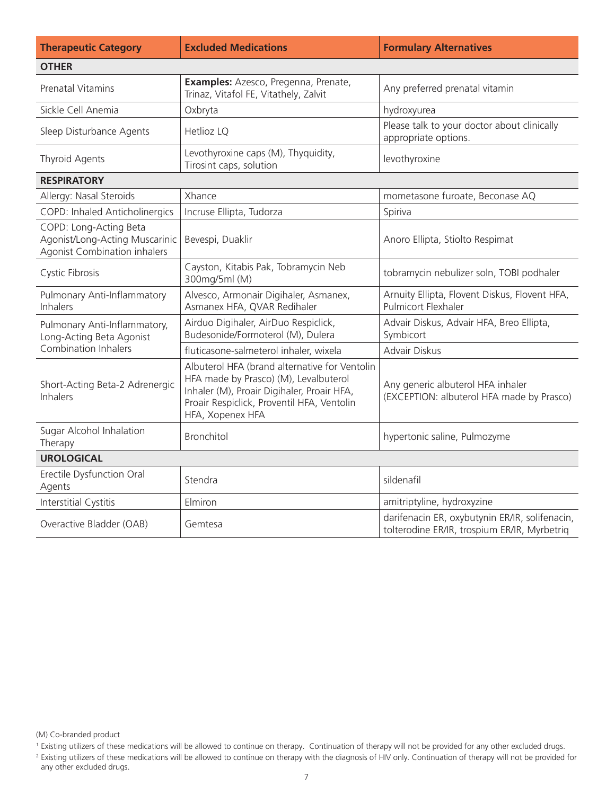| <b>Therapeutic Category</b>                                                              | <b>Excluded Medications</b>                                                                                                                                                                            | <b>Formulary Alternatives</b>                                                                  |
|------------------------------------------------------------------------------------------|--------------------------------------------------------------------------------------------------------------------------------------------------------------------------------------------------------|------------------------------------------------------------------------------------------------|
| <b>OTHER</b>                                                                             |                                                                                                                                                                                                        |                                                                                                |
| <b>Prenatal Vitamins</b>                                                                 | Examples: Azesco, Pregenna, Prenate,<br>Trinaz, Vitafol FE, Vitathely, Zalvit                                                                                                                          | Any preferred prenatal vitamin                                                                 |
| Sickle Cell Anemia                                                                       | Oxbryta                                                                                                                                                                                                | hydroxyurea                                                                                    |
| Sleep Disturbance Agents                                                                 | Hetlioz LQ                                                                                                                                                                                             | Please talk to your doctor about clinically<br>appropriate options.                            |
| <b>Thyroid Agents</b>                                                                    | Levothyroxine caps (M), Thyquidity,<br>Tirosint caps, solution                                                                                                                                         | levothyroxine                                                                                  |
| <b>RESPIRATORY</b>                                                                       |                                                                                                                                                                                                        |                                                                                                |
| Allergy: Nasal Steroids                                                                  | Xhance                                                                                                                                                                                                 | mometasone furoate, Beconase AQ                                                                |
| COPD: Inhaled Anticholinergics                                                           | Incruse Ellipta, Tudorza                                                                                                                                                                               | Spiriva                                                                                        |
| COPD: Long-Acting Beta<br>Agonist/Long-Acting Muscarinic<br>Agonist Combination inhalers | Bevespi, Duaklir                                                                                                                                                                                       | Anoro Ellipta, Stiolto Respimat                                                                |
| Cystic Fibrosis                                                                          | Cayston, Kitabis Pak, Tobramycin Neb<br>300mg/5ml (M)                                                                                                                                                  | tobramycin nebulizer soln, TOBI podhaler                                                       |
| Pulmonary Anti-Inflammatory<br><b>Inhalers</b>                                           | Alvesco, Armonair Digihaler, Asmanex,<br>Asmanex HFA, QVAR Redihaler                                                                                                                                   | Arnuity Ellipta, Flovent Diskus, Flovent HFA,<br>Pulmicort Flexhaler                           |
| Pulmonary Anti-Inflammatory,<br>Long-Acting Beta Agonist                                 | Airduo Digihaler, AirDuo Respiclick,<br>Budesonide/Formoterol (M), Dulera                                                                                                                              | Advair Diskus, Advair HFA, Breo Ellipta,<br>Symbicort                                          |
| Combination Inhalers                                                                     | fluticasone-salmeterol inhaler, wixela                                                                                                                                                                 | Advair Diskus                                                                                  |
| Short-Acting Beta-2 Adrenergic<br>Inhalers                                               | Albuterol HFA (brand alternative for Ventolin<br>HFA made by Prasco) (M), Levalbuterol<br>Inhaler (M), Proair Digihaler, Proair HFA,<br>Proair Respiclick, Proventil HFA, Ventolin<br>HFA, Xopenex HFA | Any generic albuterol HFA inhaler<br>(EXCEPTION: albuterol HFA made by Prasco)                 |
| Sugar Alcohol Inhalation<br>Therapy                                                      | Bronchitol                                                                                                                                                                                             | hypertonic saline, Pulmozyme                                                                   |
| <b>UROLOGICAL</b>                                                                        |                                                                                                                                                                                                        |                                                                                                |
| Erectile Dysfunction Oral<br>Agents                                                      | Stendra                                                                                                                                                                                                | sildenafil                                                                                     |
| Interstitial Cystitis                                                                    | Elmiron                                                                                                                                                                                                | amitriptyline, hydroxyzine                                                                     |
| Overactive Bladder (OAB)                                                                 | Gemtesa                                                                                                                                                                                                | darifenacin ER, oxybutynin ER/IR, solifenacin,<br>tolterodine ER/IR, trospium ER/IR, Myrbetrig |

<sup>&</sup>lt;sup>1</sup> Existing utilizers of these medications will be allowed to continue on therapy. Continuation of therapy will not be provided for any other excluded drugs.

<sup>&</sup>lt;sup>2</sup> Existing utilizers of these medications will be allowed to continue on therapy with the diagnosis of HIV only. Continuation of therapy will not be provided for any other excluded drugs.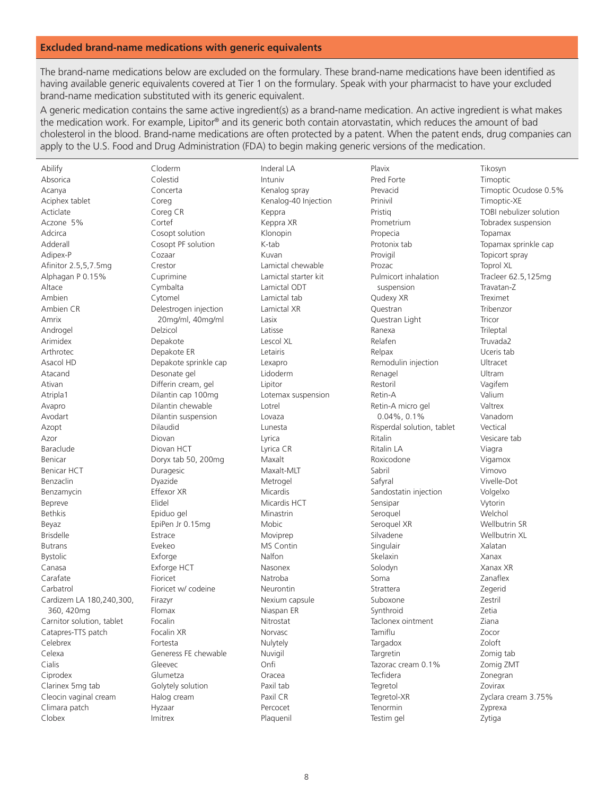## **Excluded brand-name medications with generic equivalents**

The brand-name medications below are excluded on the formulary. These brand-name medications have been identified as having available generic equivalents covered at Tier 1 on the formulary. Speak with your pharmacist to have your excluded brand-name medication substituted with its generic equivalent.

A generic medication contains the same active ingredient(s) as a brand-name medication. An active ingredient is what makes the medication work. For example, Lipitor® and its generic both contain atorvastatin, which reduces the amount of bad cholesterol in the blood. Brand-name medications are often protected by a patent. When the patent ends, drug companies can apply to the U.S. Food and Drug Administration (FDA) to begin making generic versions of the medication.

Abilify Absorica Acanya Aciphex tablet Acticlate Aczone 5% Adcirca Adderall Adipex-P Afinitor 2.5,5,7.5mg Alphagan P 0.15% Altace Ambien Ambien CR Amrix Androgel Arimidex Arthrotec Asacol HD Atacand Ativan Atripla1 Avapro Avodart Azopt Azor Baraclude Benicar **Benicar HCT Benzaclin** Benzamycin Bepreve **Bethkis** Beyaz **Brisdelle Butrans Bystolic** Canasa Carafate Carbatrol Cardizem LA 180,240,300, 360, 420mg Carnitor solution, tablet Catapres-TTS patch Celebrex Celexa Cialis Ciprodex Clarinex 5mg tab Cleocin vaginal cream Climara patch Clobex

Cloderm Colestid Concerta Corea Coreg CR Cortef Cosopt solution Cosopt PF solution Cozaar Crestor Cuprimine Cymbalta Cytomel Delestrogen injection 20mg/ml, 40mg/ml Delzicol Depakote Depakote ER Depakote sprinkle cap Desonate gel Differin cream, gel Dilantin cap 100mg Dilantin chewable Dilantin suspension Dilaudid Diovan Diovan HCT Doryx tab 50, 200mg Duragesic Dyazide Effexor XR Flidel Epiduo gel EpiPen Jr 0.15mg Estrace Evekeo Exforge Exforge HCT Fioricet Fioricet w/ codeine Firazvr Flomax Focalin Focalin XR Fortesta Generess FE chewable Gleevec Glumetza Golytely solution Halog cream Hyzaar Imitrex

Inderal LA Intuniv Kenalog spray Kenalog-40 Injection Keppra Keppra XR Klonopin K-tab Kuvan Lamictal chewable Lamictal starter kit Lamictal ODT Lamictal tab Lamictal XR Lasix Latisse Lescol XI Letairis Lexapro Lidoderm Linitor Lotemax suspension Lotrel Lovaza Lunesta Lyrica Lyrica CR Maxalt Maxalt-MLT Metrogel Micardis Micardis HCT Minastrin Mobic Moviprep MS Contin Nalfon Nasonex Natroba Neurontin Nexium capsule Niaspan ER Nitrostat Norvasc Nulytely Nuvigil Onfi Oracea Paxil tab Paxil CR Percocet Plaquenil

Plavix Pred Forte Prevacid Prinivil Pristig Prometrium Propecia Protonix tab Provigil Prozac Pulmicort inhalation suspension Qudexy XR Questran Questran Light Ranexa Relafen Relpax Remodulin injection Renagel Restoril Retin-A Retin-A micro gel  $0.04\%$ ,  $0.1\%$ Risperdal solution, tablet Ritalin **Ritalin LA** Roxicodone Sahril Safvral Sandostatin injection Sensipar Seroquel Seroquel XR Silvadene Singulair Skelaxin Solodyn Soma Strattera Suboxone Synthroid Taclonex ointment Tamiflu Targadox Targretin Tazorac cream 0.1% Tecfidera Tegretol Tegretol-XR Tenormin Testim gel

Tikosyn Timoptic Timoptic Ocudose 0.5% Timoptic-XE TOBI nebulizer solution Tobradex suspension Topamax Topamax sprinkle cap Topicort spray **Toprol XL** Tracleer 62.5,125mg Travatan-Z Trevimet Tribenzor Tricor Trileptal Truvada2 Uceris tab Ultracet Ultram Vagifem Valium Valtrex Vanadom Vectical Vesicare tab Viagra Vigamox Vimovo Vivelle-Dot Volgelxo Vytorin Welchol Wellbutrin SR Wellbutrin XL Xalatan Xanax Xanax XR Zanaflex Zegerid Zestril **Zetia Ziana** Zocor Zoloft Zomig tab Zomig ZMT Zonegran Zovirax Zyclara cream 3.75% Zyprexa Zytiga